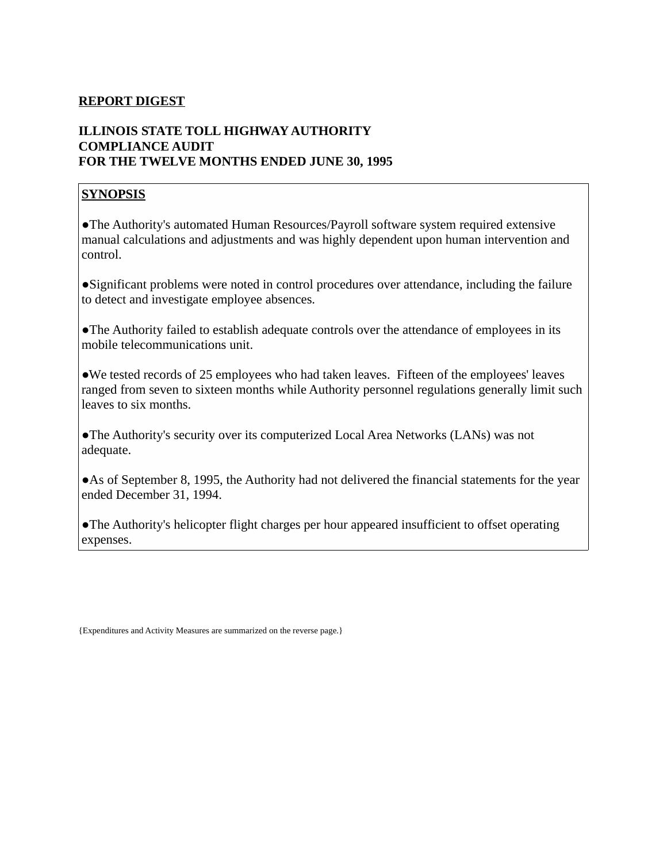#### **REPORT DIGEST**

# **ILLINOIS STATE TOLL HIGHWAY AUTHORITY COMPLIANCE AUDIT FOR THE TWELVE MONTHS ENDED JUNE 30, 1995**

## **SYNOPSIS**

●The Authority's automated Human Resources/Payroll software system required extensive manual calculations and adjustments and was highly dependent upon human intervention and control.

●Significant problems were noted in control procedures over attendance, including the failure to detect and investigate employee absences.

●The Authority failed to establish adequate controls over the attendance of employees in its mobile telecommunications unit.

●We tested records of 25 employees who had taken leaves. Fifteen of the employees' leaves ranged from seven to sixteen months while Authority personnel regulations generally limit such leaves to six months.

●The Authority's security over its computerized Local Area Networks (LANs) was not adequate.

• As of September 8, 1995, the Authority had not delivered the financial statements for the year ended December 31, 1994.

●The Authority's helicopter flight charges per hour appeared insufficient to offset operating expenses.

{Expenditures and Activity Measures are summarized on the reverse page.}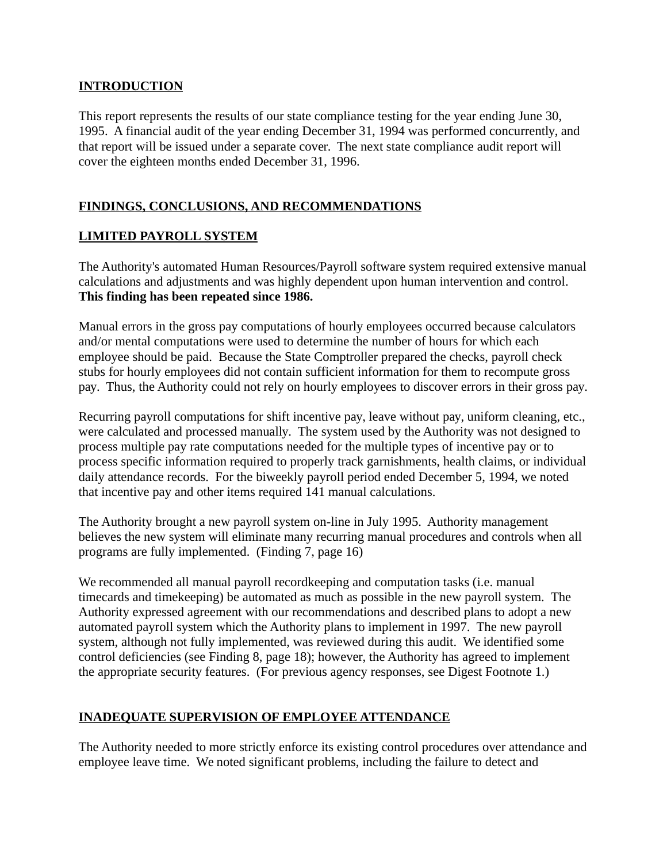#### **INTRODUCTION**

This report represents the results of our state compliance testing for the year ending June 30, 1995. A financial audit of the year ending December 31, 1994 was performed concurrently, and that report will be issued under a separate cover. The next state compliance audit report will cover the eighteen months ended December 31, 1996.

## **FINDINGS, CONCLUSIONS, AND RECOMMENDATIONS**

## **LIMITED PAYROLL SYSTEM**

The Authority's automated Human Resources/Payroll software system required extensive manual calculations and adjustments and was highly dependent upon human intervention and control. **This finding has been repeated since 1986.**

Manual errors in the gross pay computations of hourly employees occurred because calculators and/or mental computations were used to determine the number of hours for which each employee should be paid. Because the State Comptroller prepared the checks, payroll check stubs for hourly employees did not contain sufficient information for them to recompute gross pay. Thus, the Authority could not rely on hourly employees to discover errors in their gross pay.

Recurring payroll computations for shift incentive pay, leave without pay, uniform cleaning, etc., were calculated and processed manually. The system used by the Authority was not designed to process multiple pay rate computations needed for the multiple types of incentive pay or to process specific information required to properly track garnishments, health claims, or individual daily attendance records. For the biweekly payroll period ended December 5, 1994, we noted that incentive pay and other items required 141 manual calculations.

The Authority brought a new payroll system on-line in July 1995. Authority management believes the new system will eliminate many recurring manual procedures and controls when all programs are fully implemented. (Finding 7, page 16)

We recommended all manual payroll recordkeeping and computation tasks (i.e. manual timecards and timekeeping) be automated as much as possible in the new payroll system. The Authority expressed agreement with our recommendations and described plans to adopt a new automated payroll system which the Authority plans to implement in 1997. The new payroll system, although not fully implemented, was reviewed during this audit. We identified some control deficiencies (see Finding 8, page 18); however, the Authority has agreed to implement the appropriate security features. (For previous agency responses, see Digest Footnote 1.)

## **INADEQUATE SUPERVISION OF EMPLOYEE ATTENDANCE**

The Authority needed to more strictly enforce its existing control procedures over attendance and employee leave time. We noted significant problems, including the failure to detect and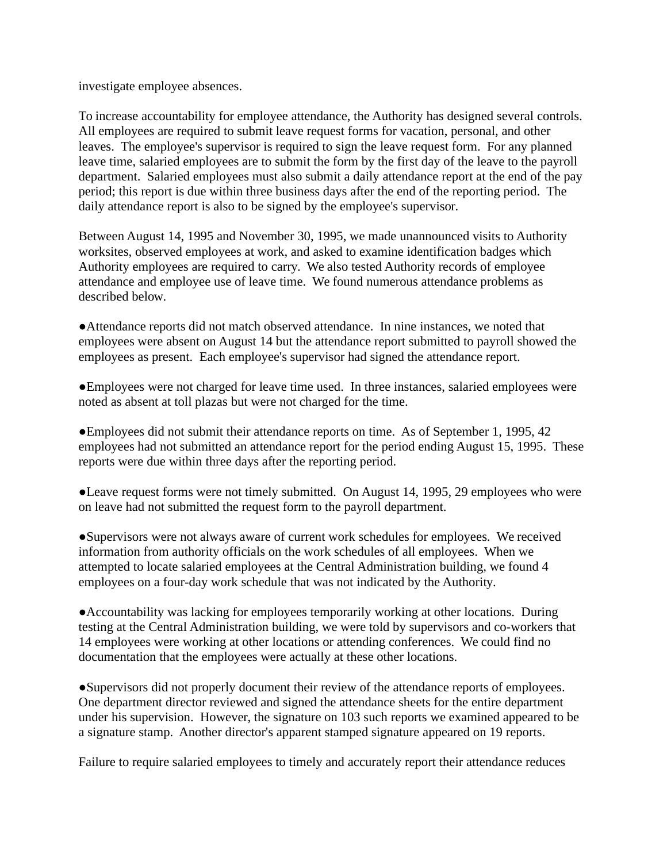investigate employee absences.

To increase accountability for employee attendance, the Authority has designed several controls. All employees are required to submit leave request forms for vacation, personal, and other leaves. The employee's supervisor is required to sign the leave request form. For any planned leave time, salaried employees are to submit the form by the first day of the leave to the payroll department. Salaried employees must also submit a daily attendance report at the end of the pay period; this report is due within three business days after the end of the reporting period. The daily attendance report is also to be signed by the employee's supervisor.

Between August 14, 1995 and November 30, 1995, we made unannounced visits to Authority worksites, observed employees at work, and asked to examine identification badges which Authority employees are required to carry. We also tested Authority records of employee attendance and employee use of leave time. We found numerous attendance problems as described below.

●Attendance reports did not match observed attendance. In nine instances, we noted that employees were absent on August 14 but the attendance report submitted to payroll showed the employees as present. Each employee's supervisor had signed the attendance report.

●Employees were not charged for leave time used. In three instances, salaried employees were noted as absent at toll plazas but were not charged for the time.

●Employees did not submit their attendance reports on time. As of September 1, 1995, 42 employees had not submitted an attendance report for the period ending August 15, 1995. These reports were due within three days after the reporting period.

●Leave request forms were not timely submitted. On August 14, 1995, 29 employees who were on leave had not submitted the request form to the payroll department.

●Supervisors were not always aware of current work schedules for employees. We received information from authority officials on the work schedules of all employees. When we attempted to locate salaried employees at the Central Administration building, we found 4 employees on a four-day work schedule that was not indicated by the Authority.

●Accountability was lacking for employees temporarily working at other locations. During testing at the Central Administration building, we were told by supervisors and co-workers that 14 employees were working at other locations or attending conferences. We could find no documentation that the employees were actually at these other locations.

●Supervisors did not properly document their review of the attendance reports of employees. One department director reviewed and signed the attendance sheets for the entire department under his supervision. However, the signature on 103 such reports we examined appeared to be a signature stamp. Another director's apparent stamped signature appeared on 19 reports.

Failure to require salaried employees to timely and accurately report their attendance reduces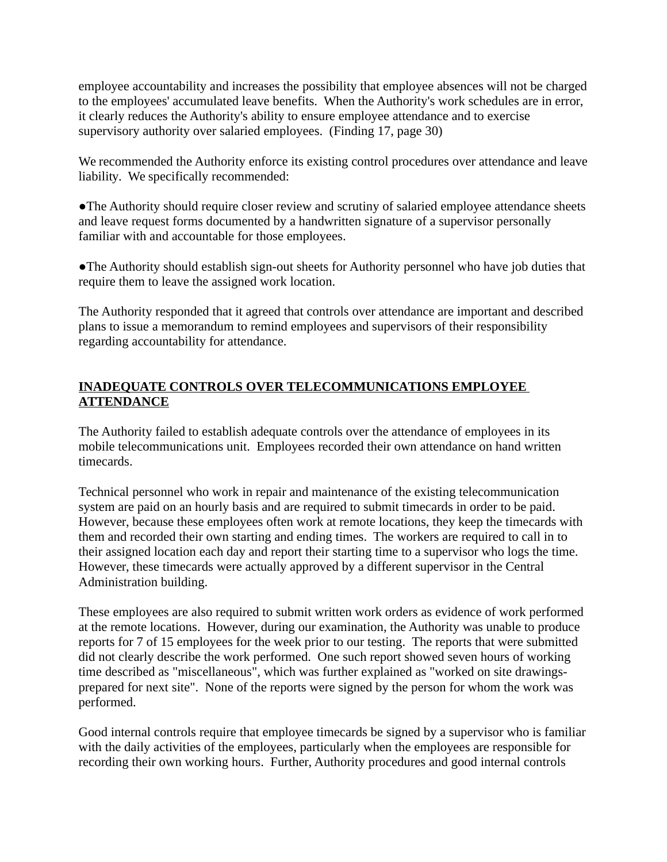employee accountability and increases the possibility that employee absences will not be charged to the employees' accumulated leave benefits. When the Authority's work schedules are in error, it clearly reduces the Authority's ability to ensure employee attendance and to exercise supervisory authority over salaried employees. (Finding 17, page 30)

We recommended the Authority enforce its existing control procedures over attendance and leave liability. We specifically recommended:

●The Authority should require closer review and scrutiny of salaried employee attendance sheets and leave request forms documented by a handwritten signature of a supervisor personally familiar with and accountable for those employees.

●The Authority should establish sign-out sheets for Authority personnel who have job duties that require them to leave the assigned work location.

The Authority responded that it agreed that controls over attendance are important and described plans to issue a memorandum to remind employees and supervisors of their responsibility regarding accountability for attendance.

# **INADEQUATE CONTROLS OVER TELECOMMUNICATIONS EMPLOYEE ATTENDANCE**

The Authority failed to establish adequate controls over the attendance of employees in its mobile telecommunications unit. Employees recorded their own attendance on hand written timecards.

Technical personnel who work in repair and maintenance of the existing telecommunication system are paid on an hourly basis and are required to submit timecards in order to be paid. However, because these employees often work at remote locations, they keep the timecards with them and recorded their own starting and ending times. The workers are required to call in to their assigned location each day and report their starting time to a supervisor who logs the time. However, these timecards were actually approved by a different supervisor in the Central Administration building.

These employees are also required to submit written work orders as evidence of work performed at the remote locations. However, during our examination, the Authority was unable to produce reports for 7 of 15 employees for the week prior to our testing. The reports that were submitted did not clearly describe the work performed. One such report showed seven hours of working time described as "miscellaneous", which was further explained as "worked on site drawingsprepared for next site". None of the reports were signed by the person for whom the work was performed.

Good internal controls require that employee timecards be signed by a supervisor who is familiar with the daily activities of the employees, particularly when the employees are responsible for recording their own working hours. Further, Authority procedures and good internal controls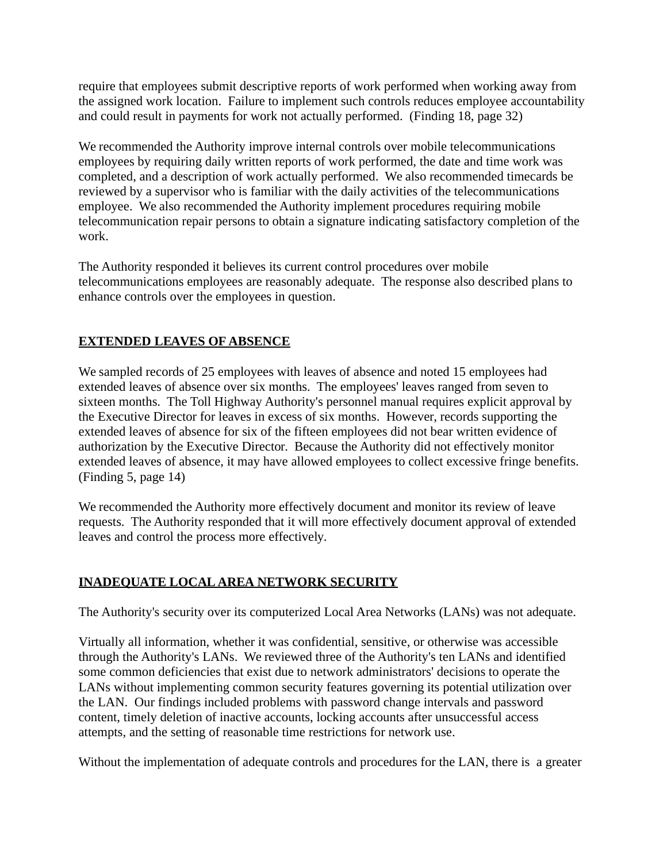require that employees submit descriptive reports of work performed when working away from the assigned work location. Failure to implement such controls reduces employee accountability and could result in payments for work not actually performed. (Finding 18, page 32)

We recommended the Authority improve internal controls over mobile telecommunications employees by requiring daily written reports of work performed, the date and time work was completed, and a description of work actually performed. We also recommended timecards be reviewed by a supervisor who is familiar with the daily activities of the telecommunications employee. We also recommended the Authority implement procedures requiring mobile telecommunication repair persons to obtain a signature indicating satisfactory completion of the work.

The Authority responded it believes its current control procedures over mobile telecommunications employees are reasonably adequate. The response also described plans to enhance controls over the employees in question.

# **EXTENDED LEAVES OF ABSENCE**

We sampled records of 25 employees with leaves of absence and noted 15 employees had extended leaves of absence over six months. The employees' leaves ranged from seven to sixteen months. The Toll Highway Authority's personnel manual requires explicit approval by the Executive Director for leaves in excess of six months. However, records supporting the extended leaves of absence for six of the fifteen employees did not bear written evidence of authorization by the Executive Director. Because the Authority did not effectively monitor extended leaves of absence, it may have allowed employees to collect excessive fringe benefits. (Finding 5, page 14)

We recommended the Authority more effectively document and monitor its review of leave requests. The Authority responded that it will more effectively document approval of extended leaves and control the process more effectively.

## **INADEQUATE LOCAL AREA NETWORK SECURITY**

The Authority's security over its computerized Local Area Networks (LANs) was not adequate.

Virtually all information, whether it was confidential, sensitive, or otherwise was accessible through the Authority's LANs. We reviewed three of the Authority's ten LANs and identified some common deficiencies that exist due to network administrators' decisions to operate the LANs without implementing common security features governing its potential utilization over the LAN. Our findings included problems with password change intervals and password content, timely deletion of inactive accounts, locking accounts after unsuccessful access attempts, and the setting of reasonable time restrictions for network use.

Without the implementation of adequate controls and procedures for the LAN, there is a greater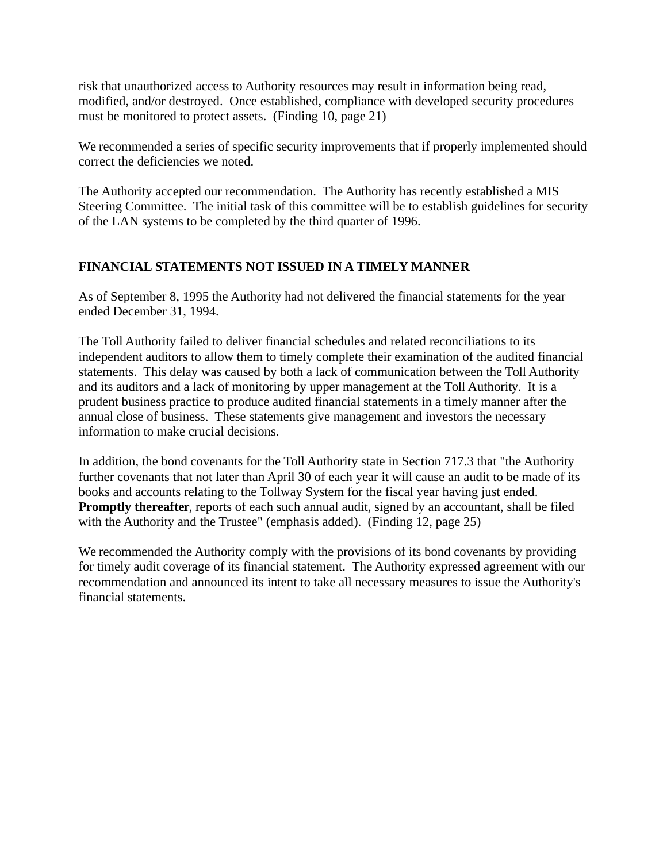risk that unauthorized access to Authority resources may result in information being read, modified, and/or destroyed. Once established, compliance with developed security procedures must be monitored to protect assets. (Finding 10, page 21)

We recommended a series of specific security improvements that if properly implemented should correct the deficiencies we noted.

The Authority accepted our recommendation. The Authority has recently established a MIS Steering Committee. The initial task of this committee will be to establish guidelines for security of the LAN systems to be completed by the third quarter of 1996.

# **FINANCIAL STATEMENTS NOT ISSUED IN A TIMELY MANNER**

As of September 8, 1995 the Authority had not delivered the financial statements for the year ended December 31, 1994.

The Toll Authority failed to deliver financial schedules and related reconciliations to its independent auditors to allow them to timely complete their examination of the audited financial statements. This delay was caused by both a lack of communication between the Toll Authority and its auditors and a lack of monitoring by upper management at the Toll Authority. It is a prudent business practice to produce audited financial statements in a timely manner after the annual close of business. These statements give management and investors the necessary information to make crucial decisions.

In addition, the bond covenants for the Toll Authority state in Section 717.3 that "the Authority further covenants that not later than April 30 of each year it will cause an audit to be made of its books and accounts relating to the Tollway System for the fiscal year having just ended. **Promptly thereafter**, reports of each such annual audit, signed by an accountant, shall be filed with the Authority and the Trustee" (emphasis added). (Finding 12, page 25)

We recommended the Authority comply with the provisions of its bond covenants by providing for timely audit coverage of its financial statement. The Authority expressed agreement with our recommendation and announced its intent to take all necessary measures to issue the Authority's financial statements.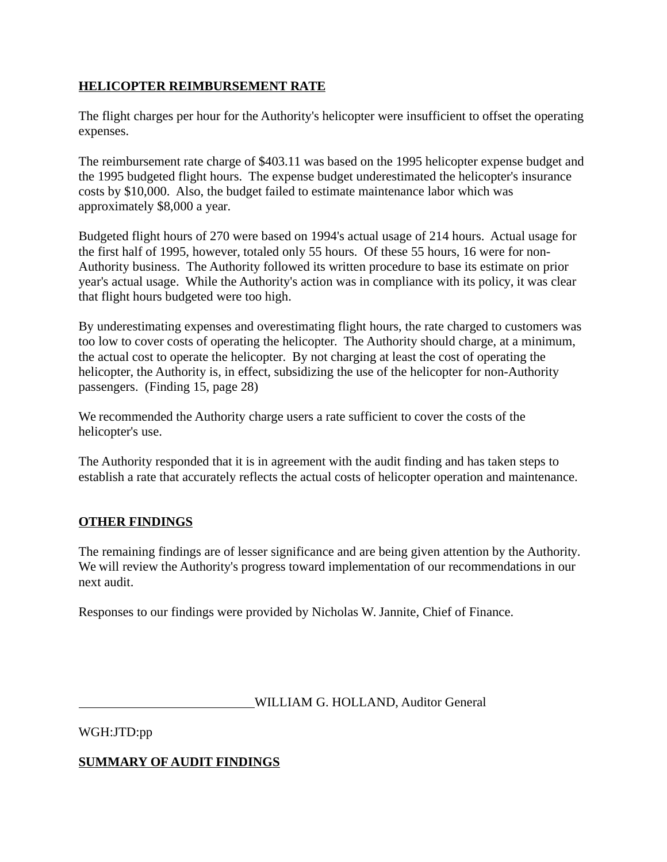#### **HELICOPTER REIMBURSEMENT RATE**

The flight charges per hour for the Authority's helicopter were insufficient to offset the operating expenses.

The reimbursement rate charge of \$403.11 was based on the 1995 helicopter expense budget and the 1995 budgeted flight hours. The expense budget underestimated the helicopter's insurance costs by \$10,000. Also, the budget failed to estimate maintenance labor which was approximately \$8,000 a year.

Budgeted flight hours of 270 were based on 1994's actual usage of 214 hours. Actual usage for the first half of 1995, however, totaled only 55 hours. Of these 55 hours, 16 were for non-Authority business. The Authority followed its written procedure to base its estimate on prior year's actual usage. While the Authority's action was in compliance with its policy, it was clear that flight hours budgeted were too high.

By underestimating expenses and overestimating flight hours, the rate charged to customers was too low to cover costs of operating the helicopter. The Authority should charge, at a minimum, the actual cost to operate the helicopter. By not charging at least the cost of operating the helicopter, the Authority is, in effect, subsidizing the use of the helicopter for non-Authority passengers. (Finding 15, page 28)

We recommended the Authority charge users a rate sufficient to cover the costs of the helicopter's use.

The Authority responded that it is in agreement with the audit finding and has taken steps to establish a rate that accurately reflects the actual costs of helicopter operation and maintenance.

## **OTHER FINDINGS**

The remaining findings are of lesser significance and are being given attention by the Authority. We will review the Authority's progress toward implementation of our recommendations in our next audit.

Responses to our findings were provided by Nicholas W. Jannite, Chief of Finance.

WILLIAM G. HOLLAND, Auditor General

WGH:JTD:pp

## **SUMMARY OF AUDIT FINDINGS**